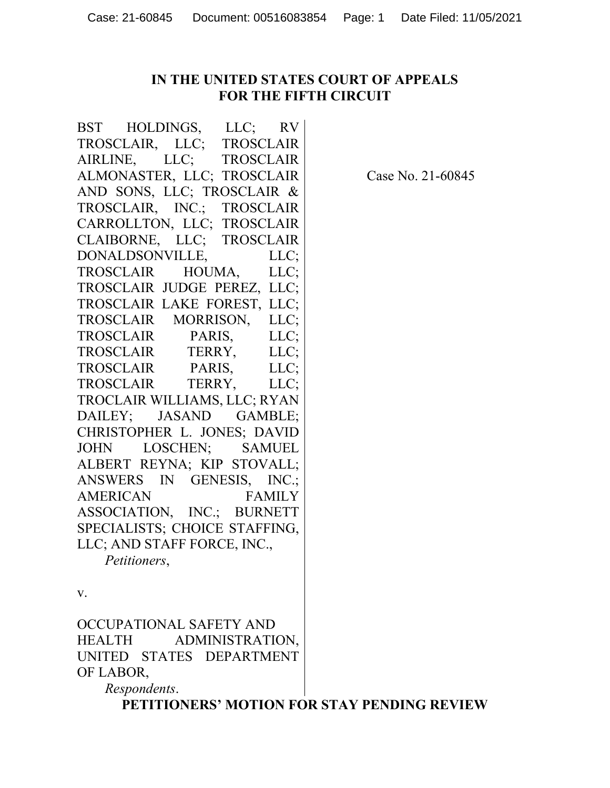## **IN THE UNITED STATES COURT OF APPEALS FOR THE FIFTH CIRCUIT**

BST HOLDINGS, LLC; RV TROSCLAIR, LLC; TROSCLAIR AIRLINE, LLC; TROSCLAIR ALMONASTER, LLC; TROSCLAIR AND SONS, LLC; TROSCLAIR & TROSCLAIR, INC.; TROSCLAIR CARROLLTON, LLC; TROSCLAIR CLAIBORNE, LLC; TROSCLAIR DONALDSONVILLE, LLC; TROSCLAIR HOUMA, LLC; TROSCLAIR JUDGE PEREZ, LLC; TROSCLAIR LAKE FOREST, LLC; TROSCLAIR MORRISON, LLC; TROSCLAIR PARIS, LLC; TROSCLAIR TERRY, LLC; TROSCLAIR PARIS, LLC; TROSCLAIR TERRY, LLC; TROCLAIR WILLIAMS, LLC; RYAN DAILEY; JASAND GAMBLE; CHRISTOPHER L. JONES; DAVID JOHN LOSCHEN; SAMUEL ALBERT REYNA; KIP STOVALL; ANSWERS IN GENESIS, INC.; AMERICAN FAMILY ASSOCIATION, INC.; BURNETT SPECIALISTS; CHOICE STAFFING, LLC; AND STAFF FORCE, INC.,

*Petitioners*,

v.

OCCUPATIONAL SAFETY AND HEALTH ADMINISTRATION, UNITED STATES DEPARTMENT OF LABOR,

*Respondents*.

**PETITIONERS' MOTION FOR STAY PENDING REVIEW**

Case No. 21-60845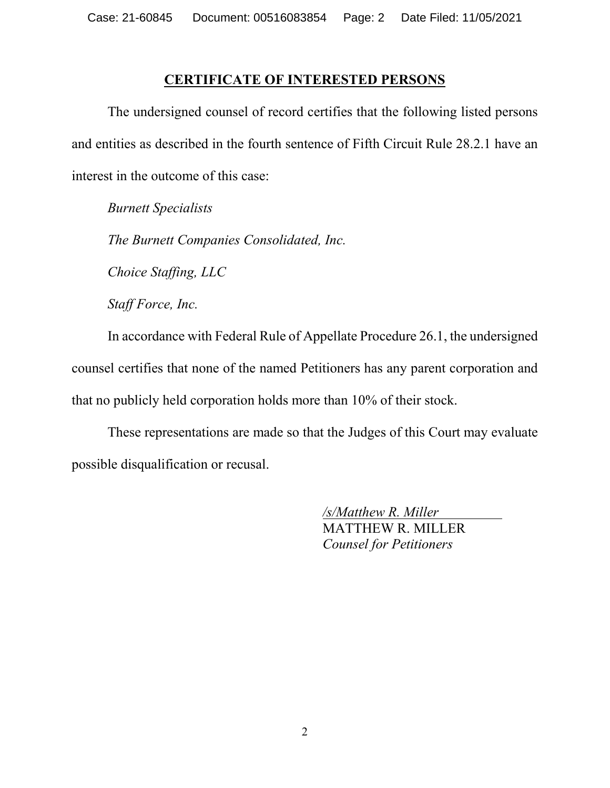### **CERTIFICATE OF INTERESTED PERSONS**

The undersigned counsel of record certifies that the following listed persons and entities as described in the fourth sentence of Fifth Circuit Rule 28.2.1 have an interest in the outcome of this case:

*Burnett Specialists*

*The Burnett Companies Consolidated, Inc.*

*Choice Staffing, LLC*

*Staff Force, Inc.*

In accordance with Federal Rule of Appellate Procedure 26.1, the undersigned counsel certifies that none of the named Petitioners has any parent corporation and that no publicly held corporation holds more than 10% of their stock.

These representations are made so that the Judges of this Court may evaluate possible disqualification or recusal.

> */s/Matthew R. Miller* MATTHEW R. MILLER *Counsel for Petitioners*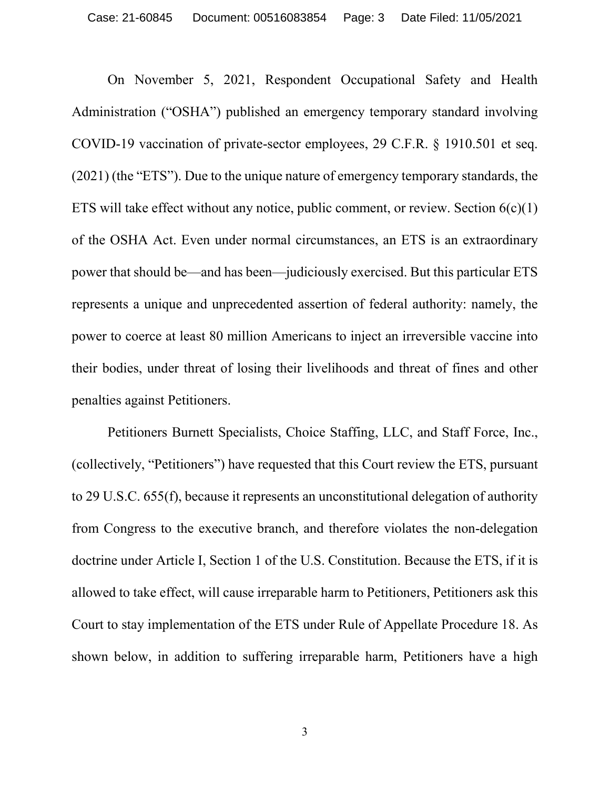On November 5, 2021, Respondent Occupational Safety and Health Administration ("OSHA") published an emergency temporary standard involving COVID-19 vaccination of private-sector employees, 29 C.F.R. § 1910.501 et seq. (2021) (the "ETS"). Due to the unique nature of emergency temporary standards, the ETS will take effect without any notice, public comment, or review. Section  $6(c)(1)$ of the OSHA Act. Even under normal circumstances, an ETS is an extraordinary power that should be—and has been—judiciously exercised. But this particular ETS represents a unique and unprecedented assertion of federal authority: namely, the power to coerce at least 80 million Americans to inject an irreversible vaccine into their bodies, under threat of losing their livelihoods and threat of fines and other penalties against Petitioners.

Petitioners Burnett Specialists, Choice Staffing, LLC, and Staff Force, Inc., (collectively, "Petitioners") have requested that this Court review the ETS, pursuant to 29 U.S.C. 655(f), because it represents an unconstitutional delegation of authority from Congress to the executive branch, and therefore violates the non-delegation doctrine under Article I, Section 1 of the U.S. Constitution. Because the ETS, if it is allowed to take effect, will cause irreparable harm to Petitioners, Petitioners ask this Court to stay implementation of the ETS under Rule of Appellate Procedure 18. As shown below, in addition to suffering irreparable harm, Petitioners have a high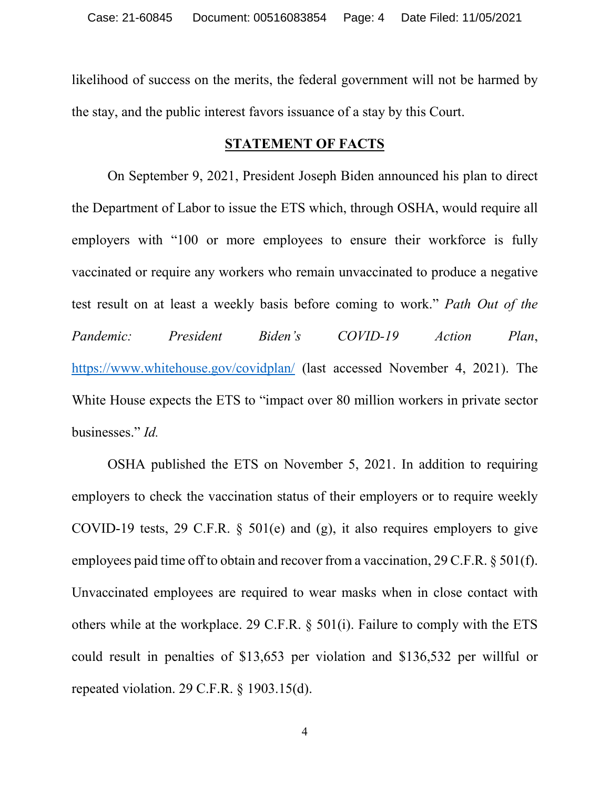likelihood of success on the merits, the federal government will not be harmed by the stay, and the public interest favors issuance of a stay by this Court.

### **STATEMENT OF FACTS**

On September 9, 2021, President Joseph Biden announced his plan to direct the Department of Labor to issue the ETS which, through OSHA, would require all employers with "100 or more employees to ensure their workforce is fully vaccinated or require any workers who remain unvaccinated to produce a negative test result on at least a weekly basis before coming to work." *Path Out of the Pandemic: President Biden's COVID-19 Action Plan*, <https://www.whitehouse.gov/covidplan/> (last accessed November 4, 2021). The White House expects the ETS to "impact over 80 million workers in private sector businesses." *Id.* 

OSHA published the ETS on November 5, 2021. In addition to requiring employers to check the vaccination status of their employers or to require weekly COVID-19 tests, 29 C.F.R. § 501(e) and (g), it also requires employers to give employees paid time off to obtain and recover from a vaccination, 29 C.F.R. § 501(f). Unvaccinated employees are required to wear masks when in close contact with others while at the workplace. 29 C.F.R. § 501(i). Failure to comply with the ETS could result in penalties of \$13,653 per violation and \$136,532 per willful or repeated violation. 29 C.F.R. § 1903.15(d).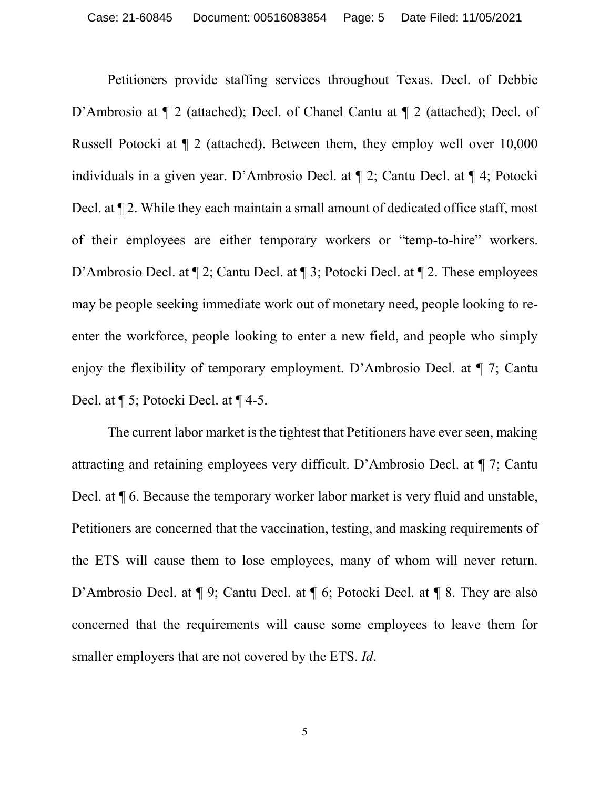Petitioners provide staffing services throughout Texas. Decl. of Debbie D'Ambrosio at  $\P$  2 (attached); Decl. of Chanel Cantu at  $\P$  2 (attached); Decl. of Russell Potocki at ¶ 2 (attached). Between them, they employ well over 10,000 individuals in a given year. D'Ambrosio Decl. at ¶ 2; Cantu Decl. at ¶ 4; Potocki Decl. at ¶ 2. While they each maintain a small amount of dedicated office staff, most of their employees are either temporary workers or "temp-to-hire" workers. D'Ambrosio Decl. at  $\P$  2; Cantu Decl. at  $\P$  3; Potocki Decl. at  $\P$  2. These employees may be people seeking immediate work out of monetary need, people looking to reenter the workforce, people looking to enter a new field, and people who simply enjoy the flexibility of temporary employment. D'Ambrosio Decl. at ¶ 7; Cantu Decl. at ¶ 5; Potocki Decl. at ¶ 4-5.

The current labor market is the tightest that Petitioners have ever seen, making attracting and retaining employees very difficult. D'Ambrosio Decl. at ¶ 7; Cantu Decl. at ¶ 6. Because the temporary worker labor market is very fluid and unstable, Petitioners are concerned that the vaccination, testing, and masking requirements of the ETS will cause them to lose employees, many of whom will never return. D'Ambrosio Decl. at  $\P$  9; Cantu Decl. at  $\P$  6; Potocki Decl. at  $\P$  8. They are also concerned that the requirements will cause some employees to leave them for smaller employers that are not covered by the ETS. *Id*.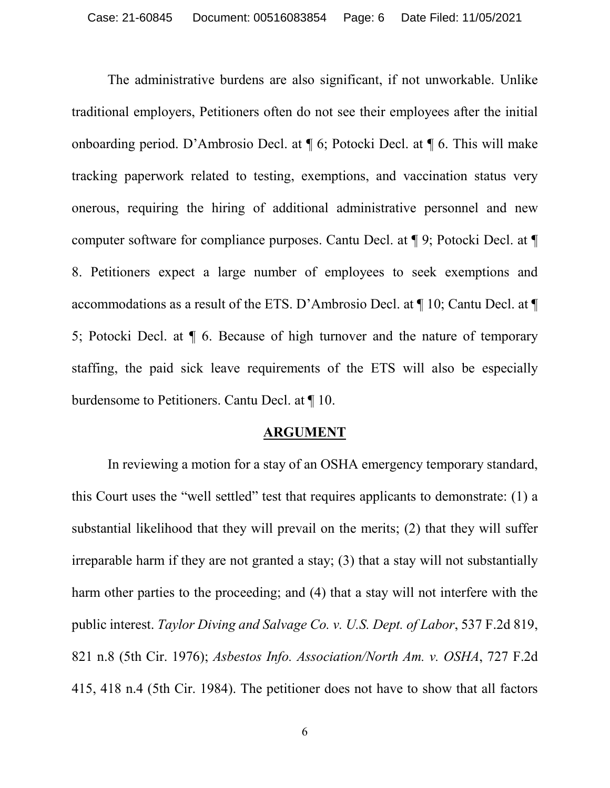The administrative burdens are also significant, if not unworkable. Unlike traditional employers, Petitioners often do not see their employees after the initial onboarding period. D'Ambrosio Decl. at ¶ 6; Potocki Decl. at ¶ 6. This will make tracking paperwork related to testing, exemptions, and vaccination status very onerous, requiring the hiring of additional administrative personnel and new computer software for compliance purposes. Cantu Decl. at ¶ 9; Potocki Decl. at ¶ 8. Petitioners expect a large number of employees to seek exemptions and accommodations as a result of the ETS. D'Ambrosio Decl. at ¶ 10; Cantu Decl. at ¶ 5; Potocki Decl. at ¶ 6. Because of high turnover and the nature of temporary staffing, the paid sick leave requirements of the ETS will also be especially burdensome to Petitioners. Cantu Decl. at ¶ 10.

#### **ARGUMENT**

In reviewing a motion for a stay of an OSHA emergency temporary standard, this Court uses the "well settled" test that requires applicants to demonstrate: (1) a substantial likelihood that they will prevail on the merits; (2) that they will suffer irreparable harm if they are not granted a stay; (3) that a stay will not substantially harm other parties to the proceeding; and (4) that a stay will not interfere with the public interest. *Taylor Diving and Salvage Co. v. U.S. Dept. of Labor*, 537 F.2d 819, 821 n.8 (5th Cir. 1976); *Asbestos Info. Association/North Am. v. OSHA*, 727 F.2d 415, 418 n.4 (5th Cir. 1984). The petitioner does not have to show that all factors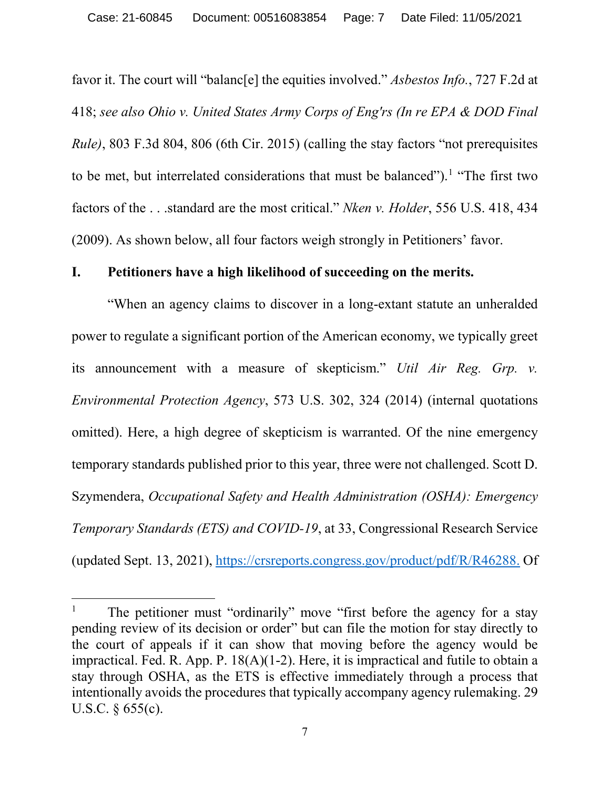favor it. The court will "balanc[e] the equities involved." *Asbestos Info.*, 727 F.2d at 418; *see also Ohio v. [United](https://advance.lexis.com/api/document/collection/cases/id/5H3V-C9Y1-F04K-P03M-00000-00?cite=803%20F.3d%20804&context=1000516) States Army Corps of Eng'rs (In re EPA & DOD Final [Rule\)](https://advance.lexis.com/api/document/collection/cases/id/5H3V-C9Y1-F04K-P03M-00000-00?cite=803%20F.3d%20804&context=1000516)*, 803 F.3d 804, 806 (6th Cir. 2015) (calling the stay factors "not prerequisites to be met, but interrelated considerations that must be balanced").<sup>[1](#page-6-0)</sup> "The first two factors of the . . .standard are the most critical." *Nken v. Holder*, 556 U.S. 418, 434 (2009). As shown below, all four factors weigh strongly in Petitioners' favor.

### **I. Petitioners have a high likelihood of succeeding on the merits.**

"When an agency claims to discover in a long-extant statute an unheralded power to regulate a significant portion of the American economy, we typically greet its announcement with a measure of skepticism." *Util Air Reg. Grp. v. Environmental Protection Agency*, 573 U.S. 302, 324 (2014) (internal quotations omitted). Here, a high degree of skepticism is warranted. Of the nine emergency temporary standards published prior to this year, three were not challenged. Scott D. Szymendera, *Occupational Safety and Health Administration (OSHA): Emergency Temporary Standards (ETS) and COVID-19*, at 33, Congressional Research Service (updated Sept. 13, 2021), [https://crsreports.congress.gov/product/pdf/R/R46288.](https://crsreports.congress.gov/product/pdf/R/R46288) Of

<span id="page-6-0"></span>The petitioner must "ordinarily" move "first before the agency for a stay pending review of its decision or order" but can file the motion for stay directly to the court of appeals if it can show that moving before the agency would be impractical. Fed. R. App. P. 18(A)(1-2). Here, it is impractical and futile to obtain a stay through OSHA, as the ETS is effective immediately through a process that intentionally avoids the procedures that typically accompany agency rulemaking. 29 U.S.C. § 655(c).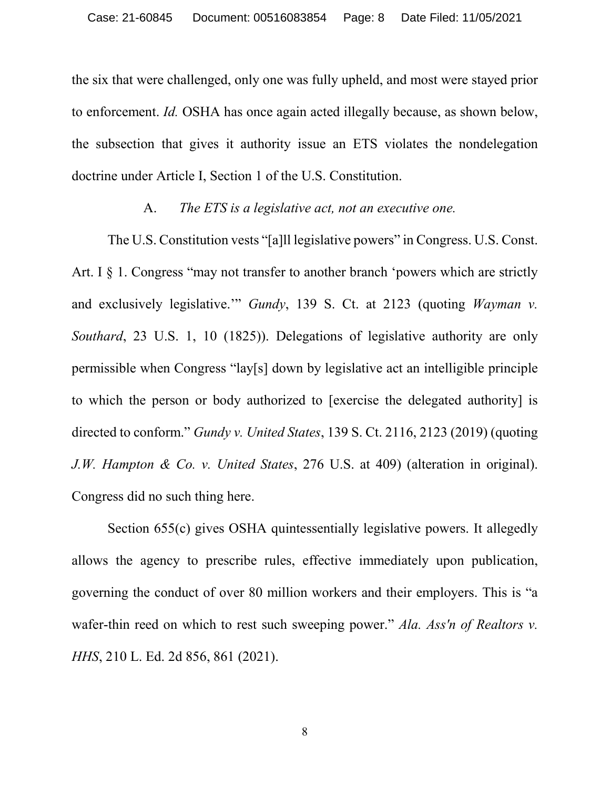the six that were challenged, only one was fully upheld, and most were stayed prior to enforcement. *Id.* OSHA has once again acted illegally because, as shown below, the subsection that gives it authority issue an ETS violates the nondelegation doctrine under Article I, Section 1 of the U.S. Constitution.

### A. *The ETS is a legislative act, not an executive one.*

The U.S. Constitution vests "[a]ll legislative powers" in Congress. U.S. Const. Art. I § 1. Congress "may not transfer to another branch 'powers which are strictly and exclusively legislative." *Gundy*, 139 S. Ct. at 2123 (quoting *Wayman v. Southard*, 23 U.S. 1, 10 (1825)). Delegations of legislative authority are only permissible when Congress "lay[s] down by legislative act an intelligible principle to which the person or body authorized to [exercise the delegated authority] is directed to conform." *Gundy v. United States*, 139 S. Ct. 2116, 2123 (2019) (quoting *J.W. Hampton & Co. v. United States*, 276 U.S. at 409) (alteration in original). Congress did no such thing here.

Section 655(c) gives OSHA quintessentially legislative powers. It allegedly allows the agency to prescribe rules, effective immediately upon publication, governing the conduct of over 80 million workers and their employers. This is "a wafer-thin reed on which to rest such sweeping power." *Ala. Ass'n of Realtors v. HHS*, 210 L. Ed. 2d 856, 861 (2021).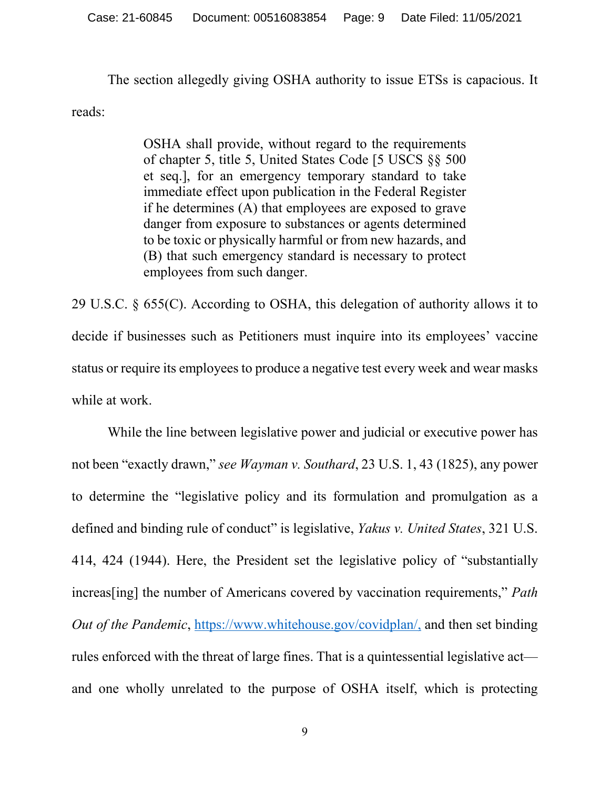The section allegedly giving OSHA authority to issue ETSs is capacious. It reads:

> OSHA shall provide, without regard to the requirements of chapter 5, title 5, United States Code [5 USCS §§ 500 et seq.], for an emergency temporary standard to take immediate effect upon publication in the Federal Register if he determines (A) that employees are exposed to grave danger from exposure to substances or agents determined to be toxic or physically harmful or from new hazards, and (B) that such emergency standard is necessary to protect employees from such danger.

29 U.S.C. § 655(C). According to OSHA, this delegation of authority allows it to decide if businesses such as Petitioners must inquire into its employees' vaccine status or require its employees to produce a negative test every week and wear masks while at work.

While the line between legislative power and judicial or executive power has not been "exactly drawn," *see Wayman v. Southard*, 23 U.S. 1, 43 (1825), any power to determine the "legislative policy and its formulation and promulgation as a defined and binding rule of conduct" is legislative, *Yakus v. United States*, 321 U.S. 414, 424 (1944). Here, the President set the legislative policy of "substantially increas[ing] the number of Americans covered by vaccination requirements," *Path Out of the Pandemic*, [https://www.whitehouse.gov/covidplan/,](https://www.whitehouse.gov/covidplan/) and then set binding rules enforced with the threat of large fines. That is a quintessential legislative act and one wholly unrelated to the purpose of OSHA itself, which is protecting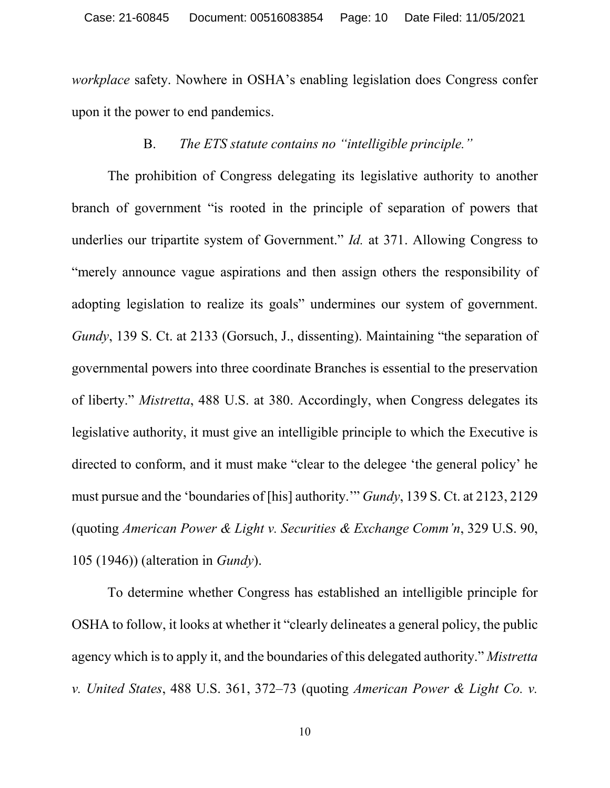*workplace* safety. Nowhere in OSHA's enabling legislation does Congress confer upon it the power to end pandemics.

# B. *The ETS statute contains no "intelligible principle."*

The prohibition of Congress delegating its legislative authority to another branch of government "is rooted in the principle of separation of powers that underlies our tripartite system of Government." *Id.* at 371. Allowing Congress to "merely announce vague aspirations and then assign others the responsibility of adopting legislation to realize its goals" undermines our system of government. *Gundy*, 139 S. Ct. at 2133 (Gorsuch, J., dissenting). Maintaining "the separation of governmental powers into three coordinate Branches is essential to the preservation of liberty." *Mistretta*, 488 U.S. at 380. Accordingly, when Congress delegates its legislative authority, it must give an intelligible principle to which the Executive is directed to conform, and it must make "clear to the delegee 'the general policy' he must pursue and the 'boundaries of [his] authority.'" *Gundy*, 139 S. Ct. at 2123, 2129 (quoting *American Power & Light v. Securities & Exchange Comm'n*, 329 U.S. 90, 105 (1946)) (alteration in *Gundy*).

To determine whether Congress has established an intelligible principle for OSHA to follow, it looks at whether it "clearly delineates a general policy, the public agency which is to apply it, and the boundaries of this delegated authority." *Mistretta v. United States*, 488 U.S. 361, 372–73 (quoting *American Power & Light Co. v.*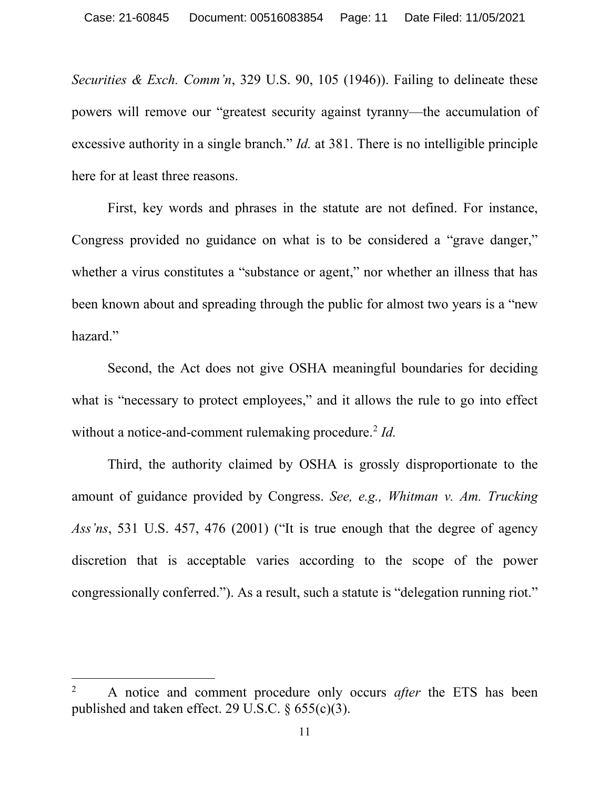*Securities & Exch. Comm'n*, 329 U.S. 90, 105 (1946)). Failing to delineate these powers will remove our "greatest security against tyranny—the accumulation of excessive authority in a single branch." *Id.* at 381. There is no intelligible principle here for at least three reasons.

First, key words and phrases in the statute are not defined. For instance, Congress provided no guidance on what is to be considered a "grave danger," whether a virus constitutes a "substance or agent," nor whether an illness that has been known about and spreading through the public for almost two years is a "new hazard."

Second, the Act does not give OSHA meaningful boundaries for deciding what is "necessary to protect employees," and it allows the rule to go into effect without a notice-and-comment rulemaking procedure.<sup>[2](#page-10-0)</sup> *Id.* 

Third, the authority claimed by OSHA is grossly disproportionate to the amount of guidance provided by Congress. *See, e.g., Whitman v. Am. Trucking Ass'ns*, 531 U.S. 457, 476 (2001) ("It is true enough that the degree of agency discretion that is acceptable varies according to the scope of the power congressionally conferred."). As a result, such a statute is "delegation running riot."

<span id="page-10-0"></span> <sup>2</sup> A notice and comment procedure only occurs *after* the ETS has been published and taken effect. 29 U.S.C. § 655(c)(3).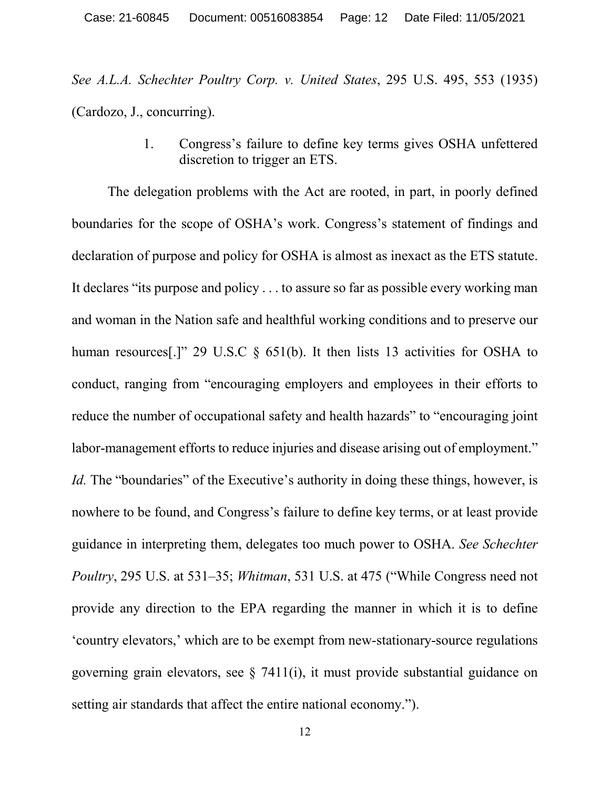*See A.L.A. Schechter Poultry Corp. v. United States*, 295 U.S. 495, 553 (1935) (Cardozo, J., concurring).

> 1. Congress's failure to define key terms gives OSHA unfettered discretion to trigger an ETS.

The delegation problems with the Act are rooted, in part, in poorly defined boundaries for the scope of OSHA's work. Congress's statement of findings and declaration of purpose and policy for OSHA is almost as inexact as the ETS statute. It declares "its purpose and policy . . . to assure so far as possible every working man and woman in the Nation safe and healthful working conditions and to preserve our human resources<sup>[1]</sup>" 29 U.S.C § 651(b). It then lists 13 activities for OSHA to conduct, ranging from "encouraging employers and employees in their efforts to reduce the number of occupational safety and health hazards" to "encouraging joint labor-management efforts to reduce injuries and disease arising out of employment." *Id.* The "boundaries" of the Executive's authority in doing these things, however, is nowhere to be found, and Congress's failure to define key terms, or at least provide guidance in interpreting them, delegates too much power to OSHA. *See Schechter Poultry*, 295 U.S. at 531–35; *Whitman*, 531 U.S. at 475 ("While Congress need not provide any direction to the EPA regarding the manner in which it is to define 'country elevators,' which are to be exempt from new-stationary-source regulations governing grain elevators, see § 7411(i), it must provide substantial guidance on setting air standards that affect the entire national economy.").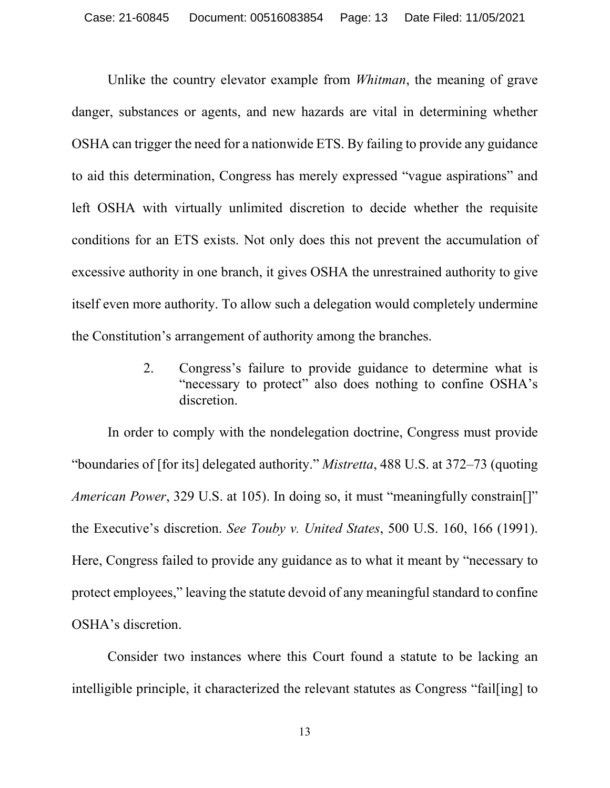Unlike the country elevator example from *Whitman*, the meaning of grave danger, substances or agents, and new hazards are vital in determining whether OSHA can trigger the need for a nationwide ETS. By failing to provide any guidance to aid this determination, Congress has merely expressed "vague aspirations" and left OSHA with virtually unlimited discretion to decide whether the requisite conditions for an ETS exists. Not only does this not prevent the accumulation of excessive authority in one branch, it gives OSHA the unrestrained authority to give itself even more authority. To allow such a delegation would completely undermine the Constitution's arrangement of authority among the branches.

> 2. Congress's failure to provide guidance to determine what is "necessary to protect" also does nothing to confine OSHA's discretion.

In order to comply with the nondelegation doctrine, Congress must provide "boundaries of [for its] delegated authority." *Mistretta*, 488 U.S. at 372–73 (quoting *American Power*, 329 U.S. at 105). In doing so, it must "meaningfully constrain[]" the Executive's discretion. *See Touby v. United States*, 500 U.S. 160, 166 (1991). Here, Congress failed to provide any guidance as to what it meant by "necessary to protect employees," leaving the statute devoid of any meaningful standard to confine OSHA's discretion.

Consider two instances where this Court found a statute to be lacking an intelligible principle, it characterized the relevant statutes as Congress "fail[ing] to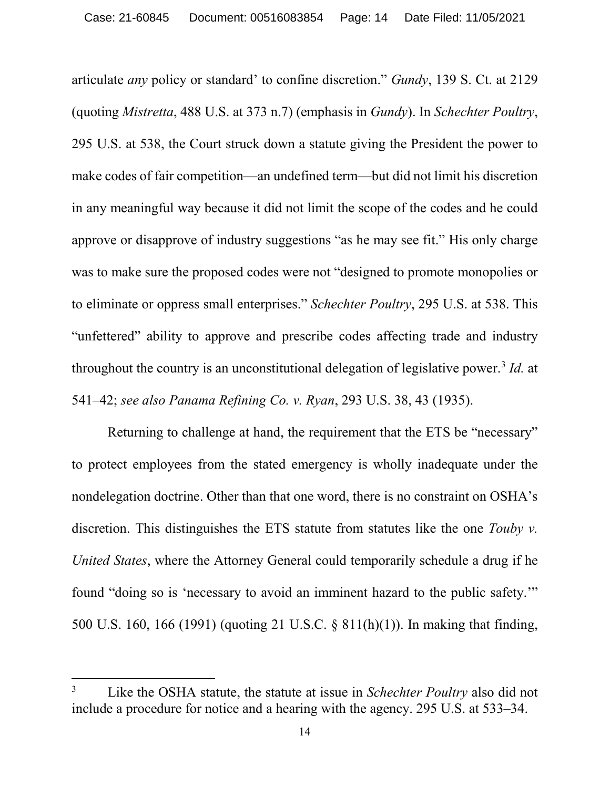articulate *any* policy or standard' to confine discretion." *Gundy*, 139 S. Ct. at 2129 (quoting *Mistretta*, 488 U.S. at 373 n.7) (emphasis in *Gundy*). In *Schechter Poultry*, 295 U.S. at 538, the Court struck down a statute giving the President the power to make codes of fair competition—an undefined term—but did not limit his discretion in any meaningful way because it did not limit the scope of the codes and he could approve or disapprove of industry suggestions "as he may see fit." His only charge was to make sure the proposed codes were not "designed to promote monopolies or to eliminate or oppress small enterprises." *Schechter Poultry*, 295 U.S. at 538. This "unfettered" ability to approve and prescribe codes affecting trade and industry throughout the country is an unconstitutional delegation of legislative power.<sup>[3](#page-13-0)</sup> *Id.* at 541–42; *see also Panama Refining Co. v. Ryan*, 293 U.S. 38, 43 (1935).

Returning to challenge at hand, the requirement that the ETS be "necessary" to protect employees from the stated emergency is wholly inadequate under the nondelegation doctrine. Other than that one word, there is no constraint on OSHA's discretion. This distinguishes the ETS statute from statutes like the one *Touby v. United States*, where the Attorney General could temporarily schedule a drug if he found "doing so is 'necessary to avoid an imminent hazard to the public safety.'" 500 U.S. 160, 166 (1991) (quoting 21 U.S.C. § 811(h)(1)). In making that finding,

<span id="page-13-0"></span> <sup>3</sup> Like the OSHA statute, the statute at issue in *Schechter Poultry* also did not include a procedure for notice and a hearing with the agency. 295 U.S. at 533–34.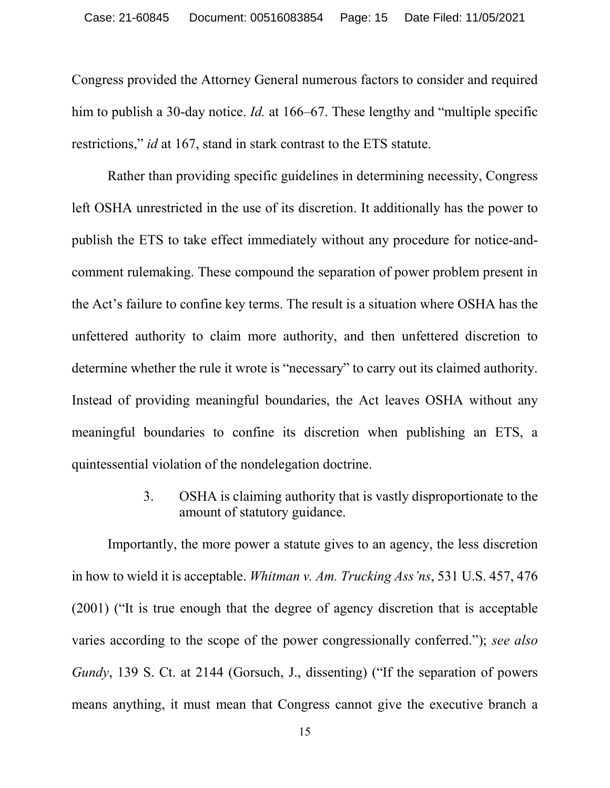Congress provided the Attorney General numerous factors to consider and required him to publish a 30-day notice. *Id.* at 166–67. These lengthy and "multiple specific restrictions," *id* at 167, stand in stark contrast to the ETS statute.

Rather than providing specific guidelines in determining necessity, Congress left OSHA unrestricted in the use of its discretion. It additionally has the power to publish the ETS to take effect immediately without any procedure for notice-andcomment rulemaking. These compound the separation of power problem present in the Act's failure to confine key terms. The result is a situation where OSHA has the unfettered authority to claim more authority, and then unfettered discretion to determine whether the rule it wrote is "necessary" to carry out its claimed authority. Instead of providing meaningful boundaries, the Act leaves OSHA without any meaningful boundaries to confine its discretion when publishing an ETS, a quintessential violation of the nondelegation doctrine.

> 3. OSHA is claiming authority that is vastly disproportionate to the amount of statutory guidance.

Importantly, the more power a statute gives to an agency, the less discretion in how to wield it is acceptable. *Whitman v. Am. Trucking Ass'ns*, 531 U.S. 457, 476 (2001) ("It is true enough that the degree of agency discretion that is acceptable varies according to the scope of the power congressionally conferred."); *see also Gundy*, 139 S. Ct. at 2144 *(Gorsuch, J., dissenting)* ("If the separation of powers means anything, it must mean that Congress cannot give the executive branch a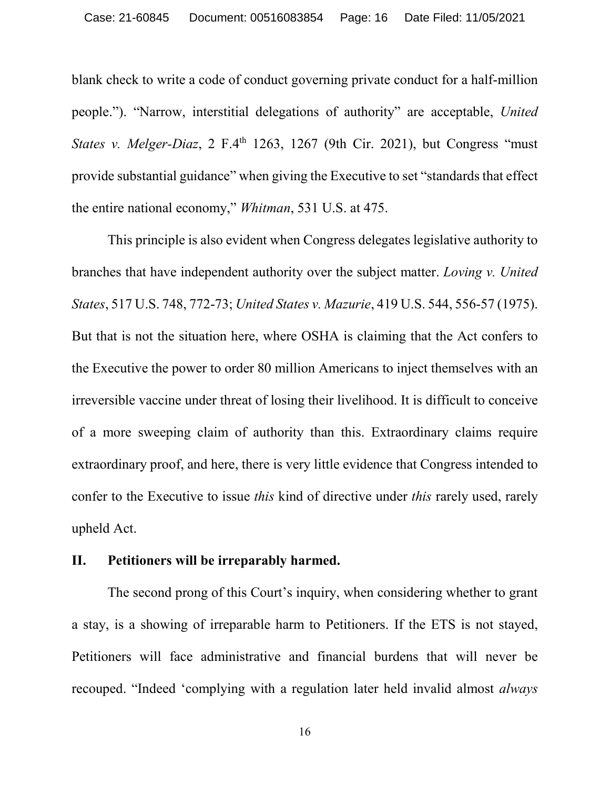blank check to write a code of conduct governing private conduct for a half-million people."). "Narrow, interstitial delegations of authority" are acceptable, *United States v. Melger-Diaz*, 2 F.4<sup>th</sup> 1263, 1267 (9th Cir. 2021), but Congress "must" provide substantial guidance" when giving the Executive to set "standards that effect the entire national economy," *Whitman*, 531 U.S. at 475.

This principle is also evident when Congress delegates legislative authority to branches that have independent authority over the subject matter. *Loving v. United States*, 517 U.S. 748, 772-73; *United States v. Mazurie*, 419 U.S. 544, 556-57 (1975). But that is not the situation here, where OSHA is claiming that the Act confers to the Executive the power to order 80 million Americans to inject themselves with an irreversible vaccine under threat of losing their livelihood. It is difficult to conceive of a more sweeping claim of authority than this. Extraordinary claims require extraordinary proof, and here, there is very little evidence that Congress intended to confer to the Executive to issue *this* kind of directive under *this* rarely used, rarely upheld Act.

### **II. Petitioners will be irreparably harmed.**

The second prong of this Court's inquiry, when considering whether to grant a stay, is a showing of irreparable harm to Petitioners. If the ETS is not stayed, Petitioners will face administrative and financial burdens that will never be recouped. "Indeed 'complying with a regulation later held invalid almost *always*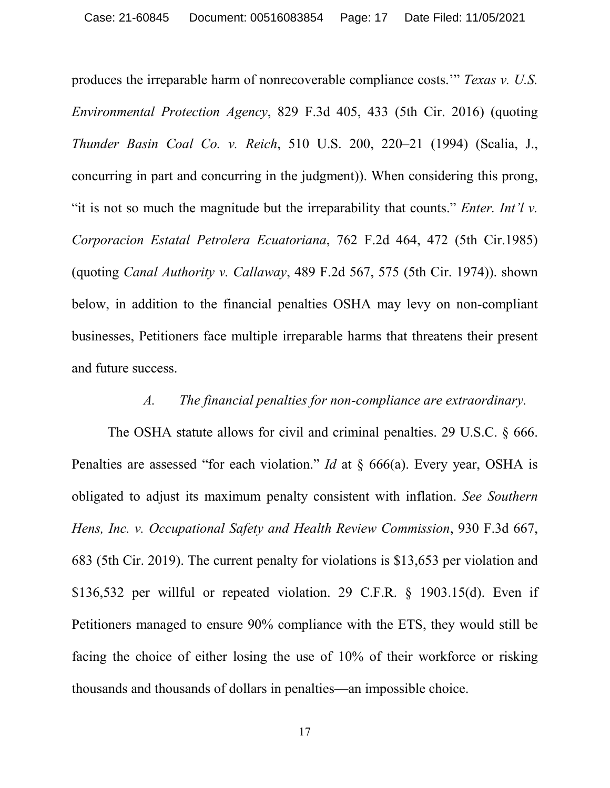produces the irreparable harm of nonrecoverable compliance costs.'" *Texas v. U.S. Environmental Protection Agency*, 829 F.3d 405, 433 (5th Cir. 2016) (quoting *Thunder Basin Coal Co. v. Reich*, 510 U.S. 200, 220–21 (1994) (Scalia, J., concurring in part and concurring in the judgment)). When considering this prong, "it is not so much the magnitude but the irreparability that counts." *Enter. Int'l v. Corporacion Estatal Petrolera Ecuatoriana*, 762 F.2d 464, 472 (5th Cir.1985) (quoting *Canal Authority v. Callaway*, 489 F.2d 567, 575 (5th Cir. 1974)). shown below, in addition to the financial penalties OSHA may levy on non-compliant businesses, Petitioners face multiple irreparable harms that threatens their present and future success.

#### *A. The financial penalties for non-compliance are extraordinary.*

The OSHA statute allows for civil and criminal penalties. 29 U.S.C. § 666. Penalties are assessed "for each violation." *Id* at § 666(a). Every year, OSHA is obligated to adjust its maximum penalty consistent with inflation. *See Southern Hens, Inc. v. Occupational Safety and Health Review Commission*, 930 F.3d 667, 683 (5th Cir. 2019). The current penalty for violations is \$13,653 per violation and \$136,532 per willful or repeated violation. 29 C.F.R. § 1903.15(d). Even if Petitioners managed to ensure 90% compliance with the ETS, they would still be facing the choice of either losing the use of 10% of their workforce or risking thousands and thousands of dollars in penalties—an impossible choice.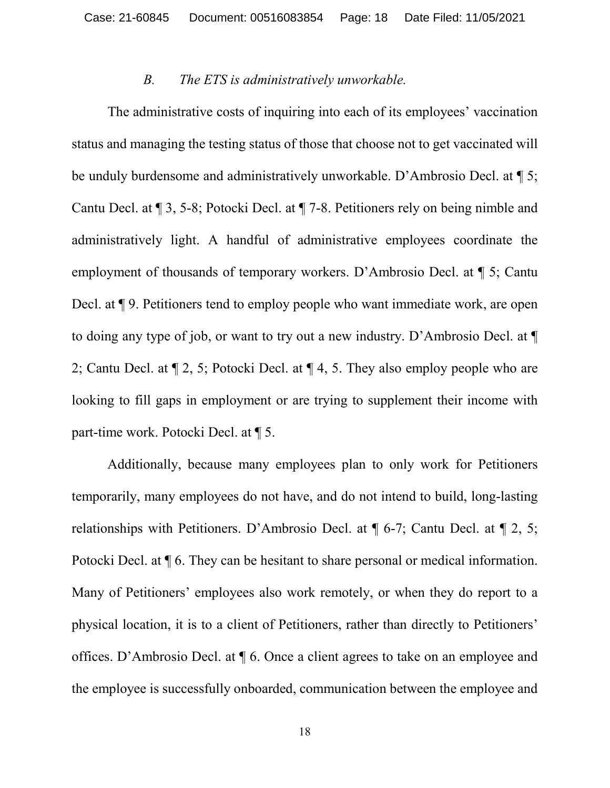#### *B. The ETS is administratively unworkable.*

The administrative costs of inquiring into each of its employees' vaccination status and managing the testing status of those that choose not to get vaccinated will be unduly burdensome and administratively unworkable. D'Ambrosio Decl. at ¶ 5; Cantu Decl. at ¶ 3, 5-8; Potocki Decl. at ¶ 7-8. Petitioners rely on being nimble and administratively light. A handful of administrative employees coordinate the employment of thousands of temporary workers. D'Ambrosio Decl. at ¶ 5; Cantu Decl. at  $\P$  9. Petitioners tend to employ people who want immediate work, are open to doing any type of job, or want to try out a new industry. D'Ambrosio Decl. at ¶ 2; Cantu Decl. at ¶ 2, 5; Potocki Decl. at ¶ 4, 5. They also employ people who are looking to fill gaps in employment or are trying to supplement their income with part-time work. Potocki Decl. at ¶ 5.

Additionally, because many employees plan to only work for Petitioners temporarily, many employees do not have, and do not intend to build, long-lasting relationships with Petitioners. D'Ambrosio Decl. at ¶ 6-7; Cantu Decl. at ¶ 2, 5; Potocki Decl. at ¶ 6. They can be hesitant to share personal or medical information. Many of Petitioners' employees also work remotely, or when they do report to a physical location, it is to a client of Petitioners, rather than directly to Petitioners' offices. D'Ambrosio Decl. at ¶ 6. Once a client agrees to take on an employee and the employee is successfully onboarded, communication between the employee and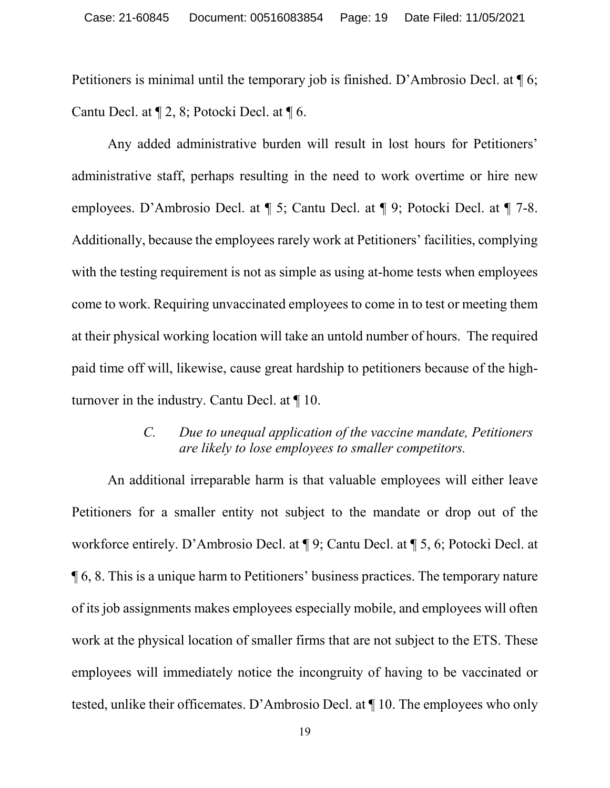Petitioners is minimal until the temporary job is finished. D'Ambrosio Decl. at ¶ 6; Cantu Decl. at ¶ 2, 8; Potocki Decl. at ¶ 6.

Any added administrative burden will result in lost hours for Petitioners' administrative staff, perhaps resulting in the need to work overtime or hire new employees. D'Ambrosio Decl. at ¶ 5; Cantu Decl. at ¶ 9; Potocki Decl. at ¶ 7-8. Additionally, because the employees rarely work at Petitioners' facilities, complying with the testing requirement is not as simple as using at-home tests when employees come to work. Requiring unvaccinated employees to come in to test or meeting them at their physical working location will take an untold number of hours. The required paid time off will, likewise, cause great hardship to petitioners because of the highturnover in the industry. Cantu Decl. at ¶ 10.

### *C. Due to unequal application of the vaccine mandate, Petitioners are likely to lose employees to smaller competitors.*

An additional irreparable harm is that valuable employees will either leave Petitioners for a smaller entity not subject to the mandate or drop out of the workforce entirely. D'Ambrosio Decl. at ¶ 9; Cantu Decl. at ¶ 5, 6; Potocki Decl. at ¶ 6, 8. This is a unique harm to Petitioners' business practices. The temporary nature of its job assignments makes employees especially mobile, and employees will often work at the physical location of smaller firms that are not subject to the ETS. These employees will immediately notice the incongruity of having to be vaccinated or tested, unlike their officemates. D'Ambrosio Decl. at ¶ 10. The employees who only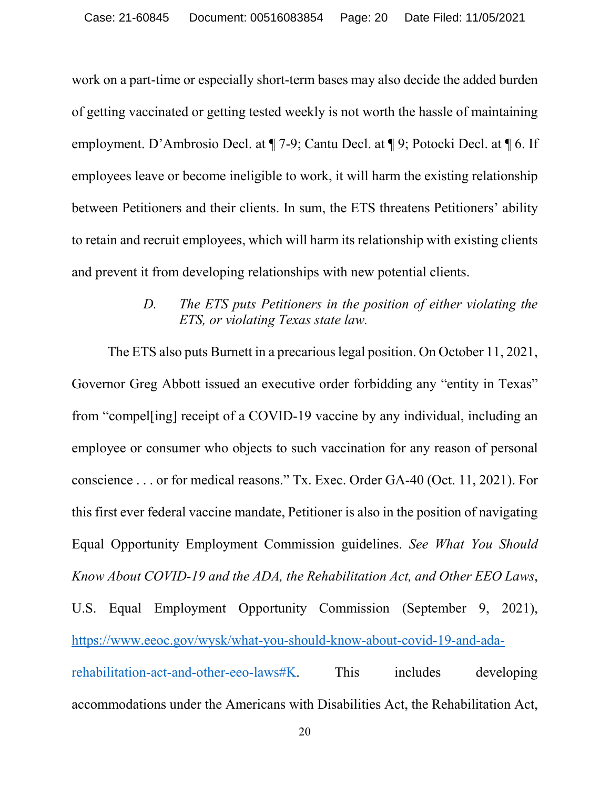work on a part-time or especially short-term bases may also decide the added burden of getting vaccinated or getting tested weekly is not worth the hassle of maintaining employment. D'Ambrosio Decl. at ¶ 7-9; Cantu Decl. at ¶ 9; Potocki Decl. at ¶ 6. If employees leave or become ineligible to work, it will harm the existing relationship between Petitioners and their clients. In sum, the ETS threatens Petitioners' ability to retain and recruit employees, which will harm its relationship with existing clients and prevent it from developing relationships with new potential clients.

# *D. The ETS puts Petitioners in the position of either violating the ETS, or violating Texas state law.*

The ETS also puts Burnett in a precarious legal position. On October 11, 2021, Governor Greg Abbott issued an executive order forbidding any "entity in Texas" from "compel[ing] receipt of a COVID-19 vaccine by any individual, including an employee or consumer who objects to such vaccination for any reason of personal conscience . . . or for medical reasons." Tx. Exec. Order GA-40 (Oct. 11, 2021). For this first ever federal vaccine mandate, Petitioner is also in the position of navigating Equal Opportunity Employment Commission guidelines. *See What You Should Know About COVID-19 and the ADA, the Rehabilitation Act, and Other EEO Laws*, U.S. Equal Employment Opportunity Commission (September 9, 2021), [https://www.eeoc.gov/wysk/what-you-should-know-about-covid-19-and-ada](https://www.eeoc.gov/wysk/what-you-should-know-about-covid-19-and-ada-rehabilitation-act-and-other-eeo-laws#K)[rehabilitation-act-and-other-eeo-laws#K.](https://www.eeoc.gov/wysk/what-you-should-know-about-covid-19-and-ada-rehabilitation-act-and-other-eeo-laws#K) This includes developing accommodations under the Americans with Disabilities Act, the Rehabilitation Act,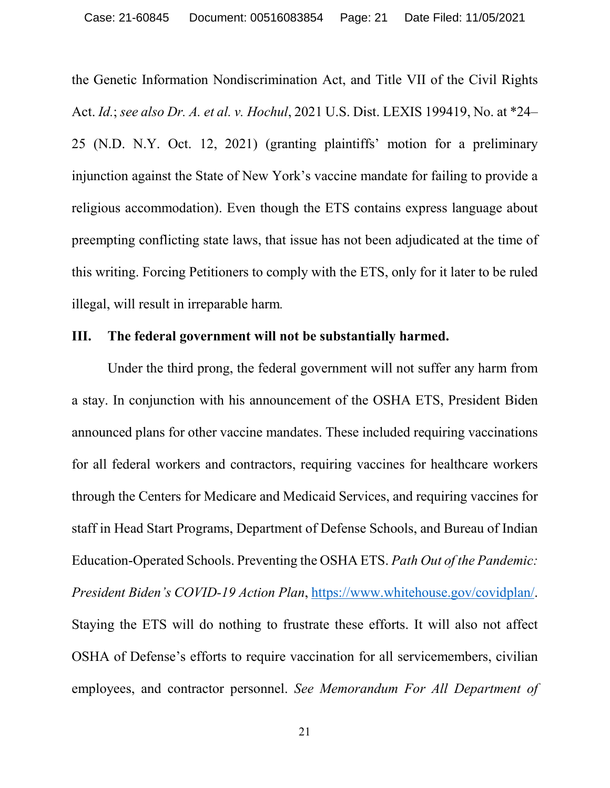the Genetic Information Nondiscrimination Act, and Title VII of the Civil Rights Act. *Id.*; *see also Dr. A. et al. v. Hochul*, 2021 U.S. Dist. LEXIS 199419, No. at \*24– 25 (N.D. N.Y. Oct. 12, 2021) (granting plaintiffs' motion for a preliminary injunction against the State of New York's vaccine mandate for failing to provide a religious accommodation). Even though the ETS contains express language about preempting conflicting state laws, that issue has not been adjudicated at the time of this writing. Forcing Petitioners to comply with the ETS, only for it later to be ruled illegal, will result in irreparable harm*.*

## **III. The federal government will not be substantially harmed.**

Under the third prong, the federal government will not suffer any harm from a stay. In conjunction with his announcement of the OSHA ETS, President Biden announced plans for other vaccine mandates. These included requiring vaccinations for all federal workers and contractors, requiring vaccines for healthcare workers through the Centers for Medicare and Medicaid Services, and requiring vaccines for staff in Head Start Programs, Department of Defense Schools, and Bureau of Indian Education-Operated Schools. Preventing the OSHA ETS. *Path Out of the Pandemic: President Biden's COVID-19 Action Plan*, [https://www.whitehouse.gov/covidplan/.](https://www.whitehouse.gov/covidplan/) Staying the ETS will do nothing to frustrate these efforts. It will also not affect OSHA of Defense's efforts to require vaccination for all servicemembers, civilian employees, and contractor personnel. *See Memorandum For All Department of*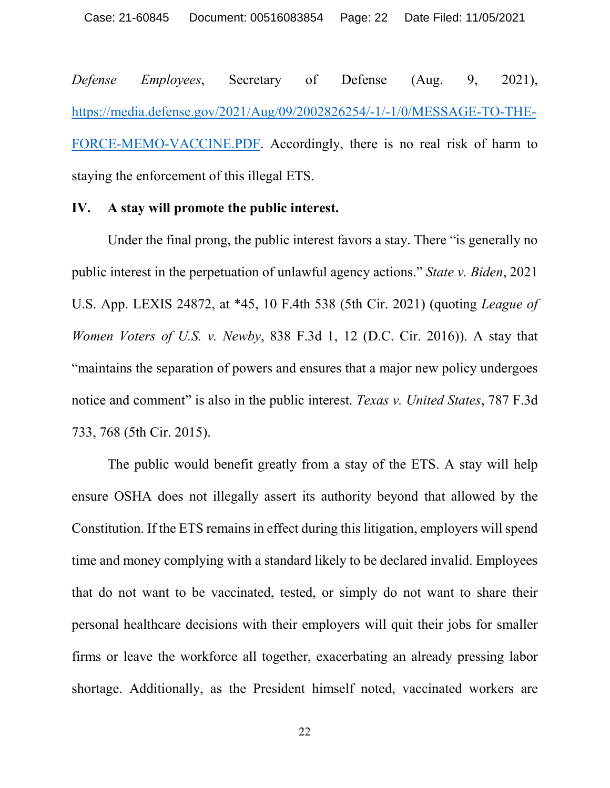*Defense Employees*, Secretary of Defense (Aug. 9, 2021), [https://media.defense.gov/2021/Aug/09/2002826254/-1/-1/0/MESSAGE-TO-THE-](https://media.defense.gov/2021/Aug/09/2002826254/-1/-1/0/MESSAGE-TO-THE-FORCE-MEMO-VACCINE.PDF)[FORCE-MEMO-VACCINE.PDF.](https://media.defense.gov/2021/Aug/09/2002826254/-1/-1/0/MESSAGE-TO-THE-FORCE-MEMO-VACCINE.PDF) Accordingly, there is no real risk of harm to staying the enforcement of this illegal ETS.

#### **IV. A stay will promote the public interest.**

Under the final prong, the public interest favors a stay. There "is generally no public interest in the perpetuation of unlawful agency actions." *State v. Biden*, 2021 U.S. App. LEXIS 24872, at \*45, 10 F.4th 538 (5th Cir. 2021) (quoting *League of Women Voters of U.S. v. Newby*, 838 F.3d 1, 12 (D.C. Cir. 2016)). A stay that "maintains the separation of powers and ensures that a major new policy undergoes notice and comment" is also in the public interest. *Texas v. United States*, 787 F.3d 733, 768 (5th Cir. 2015).

The public would benefit greatly from a stay of the ETS. A stay will help ensure OSHA does not illegally assert its authority beyond that allowed by the Constitution. If the ETS remains in effect during this litigation, employers will spend time and money complying with a standard likely to be declared invalid. Employees that do not want to be vaccinated, tested, or simply do not want to share their personal healthcare decisions with their employers will quit their jobs for smaller firms or leave the workforce all together, exacerbating an already pressing labor shortage. Additionally, as the President himself noted, vaccinated workers are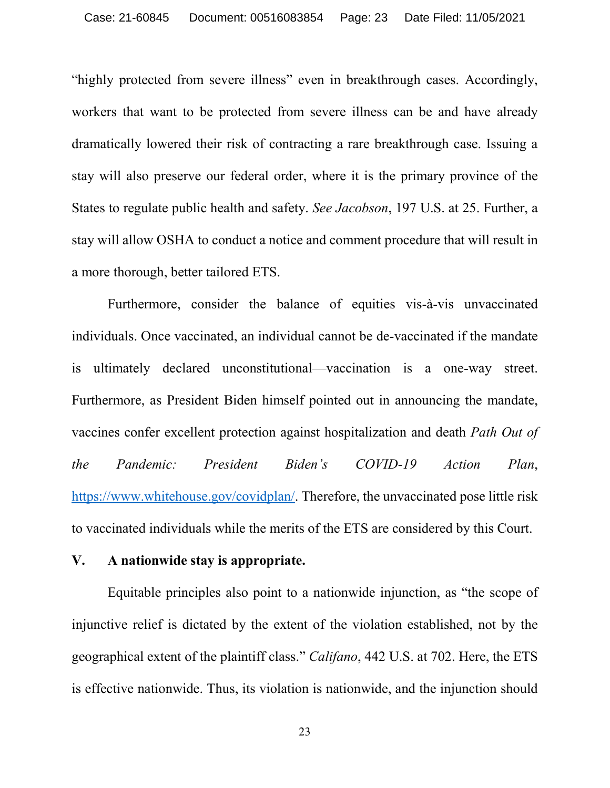"highly protected from severe illness" even in breakthrough cases. Accordingly, workers that want to be protected from severe illness can be and have already dramatically lowered their risk of contracting a rare breakthrough case. Issuing a stay will also preserve our federal order, where it is the primary province of the States to regulate public health and safety. *See Jacobson*, 197 U.S. at 25. Further, a stay will allow OSHA to conduct a notice and comment procedure that will result in a more thorough, better tailored ETS.

Furthermore, consider the balance of equities vis-à-vis unvaccinated individuals. Once vaccinated, an individual cannot be de-vaccinated if the mandate is ultimately declared unconstitutional—vaccination is a one-way street. Furthermore, as President Biden himself pointed out in announcing the mandate, vaccines confer excellent protection against hospitalization and death *Path Out of the Pandemic: President Biden's COVID-19 Action Plan*, [https://www.whitehouse.gov/covidplan/.](https://www.whitehouse.gov/covidplan/) Therefore, the unvaccinated pose little risk to vaccinated individuals while the merits of the ETS are considered by this Court.

#### **V. A nationwide stay is appropriate.**

Equitable principles also point to a nationwide injunction, as "the scope of injunctive relief is dictated by the extent of the violation established, not by the geographical extent of the plaintiff class." *Califano*, 442 U.S. at 702. Here, the ETS is effective nationwide. Thus, its violation is nationwide, and the injunction should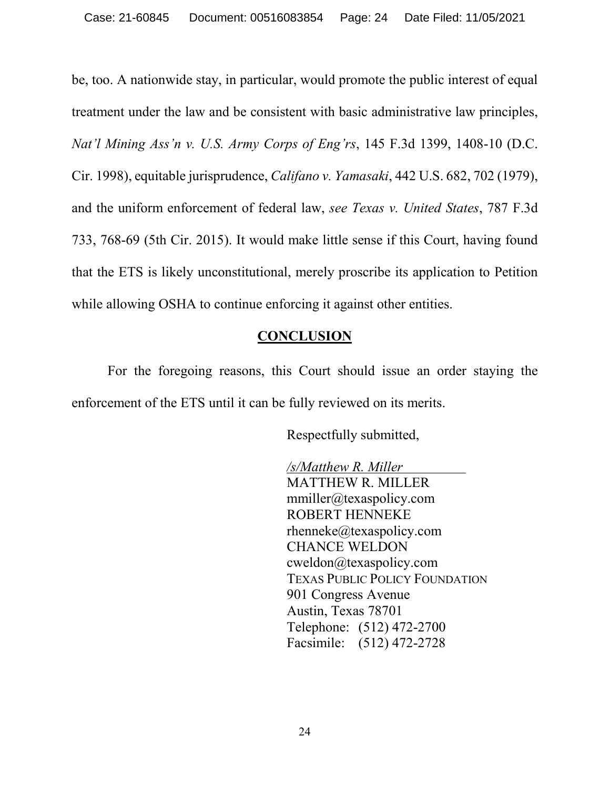be, too. A nationwide stay, in particular, would promote the public interest of equal treatment under the law and be consistent with basic administrative law principles, *Nat'l Mining Ass'n v. U.S. Army Corps of Eng'rs*, 145 F.3d 1399, 1408-10 (D.C. Cir. 1998), equitable jurisprudence, *Califano v. Yamasaki*, 442 U.S. 682, 702 (1979), and the uniform enforcement of federal law, *see Texas v. United States*, 787 F.3d 733, 768-69 (5th Cir. 2015). It would make little sense if this Court, having found that the ETS is likely unconstitutional, merely proscribe its application to Petition while allowing OSHA to continue enforcing it against other entities.

## **CONCLUSION**

For the foregoing reasons, this Court should issue an order staying the enforcement of the ETS until it can be fully reviewed on its merits.

Respectfully submitted,

*/s/Matthew R. Miller* MATTHEW R. MILLER [mmiller@texaspolicy.com](mailto:mmiller@texaspolicy.com) ROBERT HENNEKE [rhenneke@texaspolicy.com](mailto:rhenneke@texaspolicy.com) CHANCE WELDON [cweldon@texaspolicy.com](mailto:cweldon@texaspolicy.com) TEXAS PUBLIC POLICY FOUNDATION 901 Congress Avenue Austin, Texas 78701 Telephone: (512) 472-2700 Facsimile: (512) 472-2728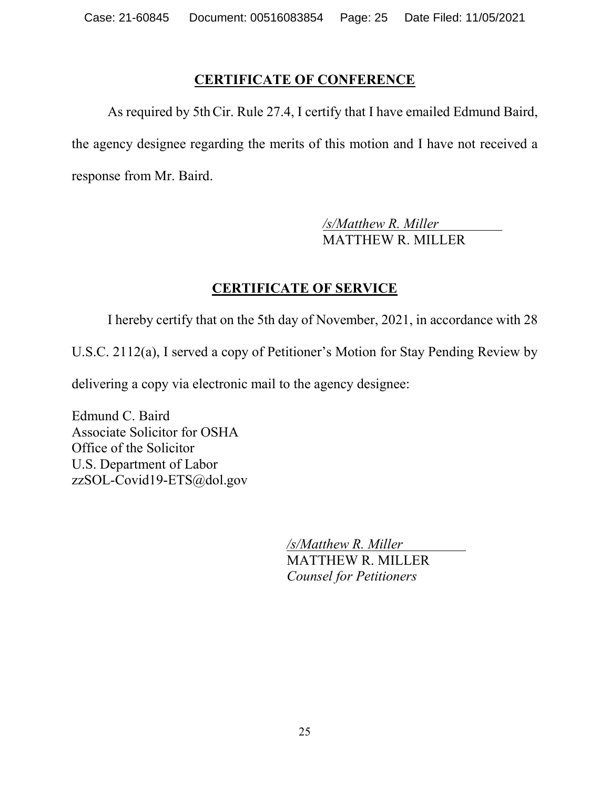# **CERTIFICATE OF CONFERENCE**

As required by 5thCir. Rule 27.4, I certify that I have emailed Edmund Baird, the agency designee regarding the merits of this motion and I have not received a response from Mr. Baird.

> */s/Matthew R. Miller* MATTHEW R. MILLER

# **CERTIFICATE OF SERVICE**

I hereby certify that on the 5th day of November, 2021, in accordance with 28

U.S.C. 2112(a), I served a copy of Petitioner's Motion for Stay Pending Review by

delivering a copy via electronic mail to the agency designee:

Edmund C. Baird Associate Solicitor for OSHA Office of the Solicitor U.S. Department of Labor zzSOL-Covid19-ETS@dol.gov

> */s/Matthew R. Miller* MATTHEW R. MILLER *Counsel for Petitioners*